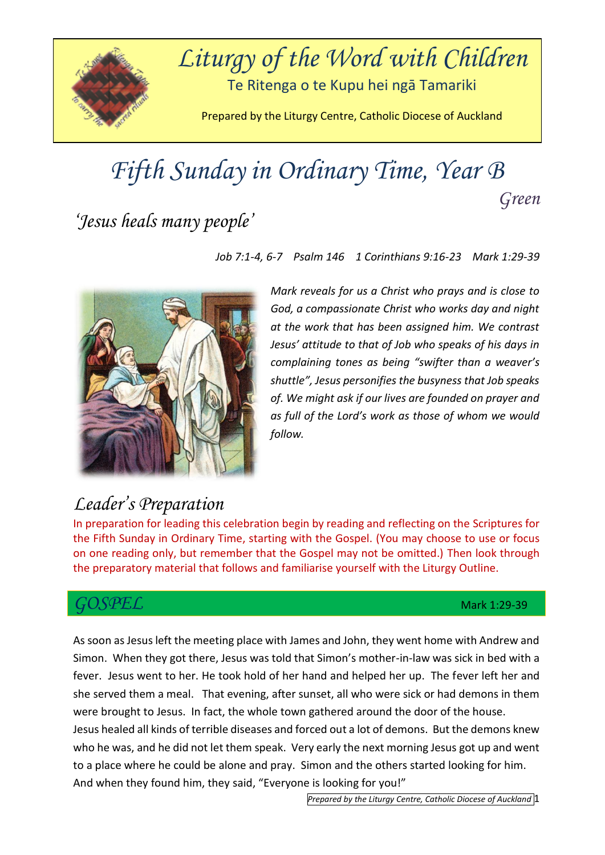

# *Fifth Sunday in Ordinary Time, Year B Green*

## *'Jesus heals many people'*

*Job 7:1-4, 6-7 Psalm 146 1 Corinthians 9:16-23 Mark 1:29-39*



*Mark reveals for us a Christ who prays and is close to God, a compassionate Christ who works day and night at the work that has been assigned him. We contrast Jesus' attitude to that of Job who speaks of his days in complaining tones as being "swifter than a weaver's shuttle", Jesus personifies the busyness that Job speaks of. We might ask if our lives are founded on prayer and as full of the Lord's work as those of whom we would follow.*

#### *Leader's Preparation*

In preparation for leading this celebration begin by reading and reflecting on the Scriptures for the Fifth Sunday in Ordinary Time, starting with the Gospel. (You may choose to use or focus on one reading only, but remember that the Gospel may not be omitted.) Then look through the preparatory material that follows and familiarise yourself with the Liturgy Outline.

#### *GOSPEL* Mark 1:29-39

As soon as Jesus left the meeting place with James and John, they went home with Andrew and Simon. When they got there, Jesus was told that Simon's mother-in-law was sick in bed with a fever. Jesus went to her. He took hold of her hand and helped her up. The fever left her and she served them a meal. That evening, after sunset, all who were sick or had demons in them were brought to Jesus. In fact, the whole town gathered around the door of the house. Jesus healed all kinds of terrible diseases and forced out a lot of demons. But the demons knew who he was, and he did not let them speak. Very early the next morning Jesus got up and went to a place where he could be alone and pray. Simon and the others started looking for him. And when they found him, they said, "Everyone is looking for you!"

*Prepared by the Liturgy Centre, Catholic Diocese of Auckland* 1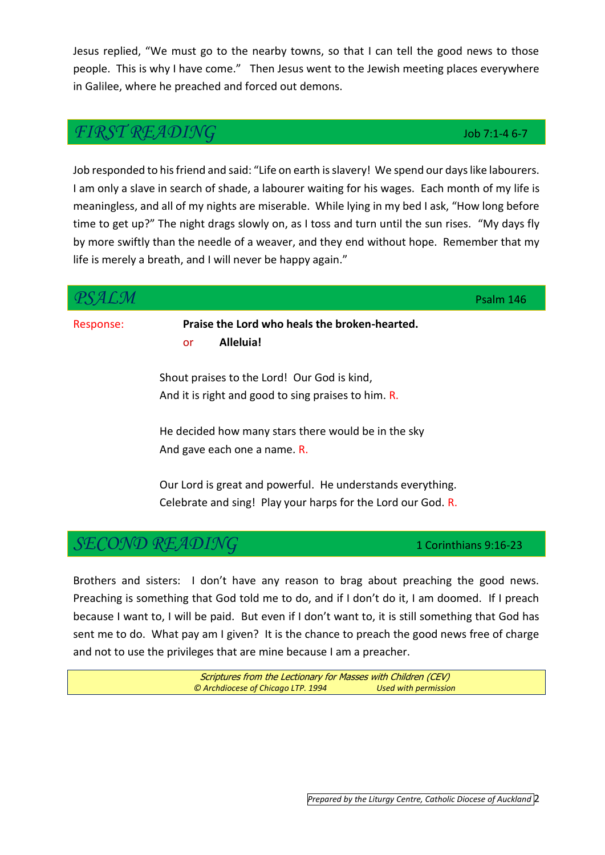Jesus replied, "We must go to the nearby towns, so that I can tell the good news to those people. This is why I have come." Then Jesus went to the Jewish meeting places everywhere in Galilee, where he preached and forced out demons.

#### *FIRST READING* Job 7:1-4 6-7

Job responded to his friend and said: "Life on earth is slavery! We spend our days like labourers. I am only a slave in search of shade, a labourer waiting for his wages. Each month of my life is meaningless, and all of my nights are miserable. While lying in my bed I ask, "How long before time to get up?" The night drags slowly on, as I toss and turn until the sun rises. "My days fly by more swiftly than the needle of a weaver, and they end without hope. Remember that my life is merely a breath, and I will never be happy again."

|           |                                                                                                                            | Psalm 146             |  |
|-----------|----------------------------------------------------------------------------------------------------------------------------|-----------------------|--|
| Response: | Praise the Lord who heals the broken-hearted.<br>Alleluia!<br>or                                                           |                       |  |
|           | Shout praises to the Lord! Our God is kind,<br>And it is right and good to sing praises to him. R.                         |                       |  |
|           | He decided how many stars there would be in the sky<br>And gave each one a name. R.                                        |                       |  |
|           | Our Lord is great and powerful. He understands everything.<br>Celebrate and sing! Play your harps for the Lord our God. R. |                       |  |
|           |                                                                                                                            | 1 Corinthians 9:16-23 |  |

Brothers and sisters: I don't have any reason to brag about preaching the good news. Preaching is something that God told me to do, and if I don't do it, I am doomed. If I preach because I want to, I will be paid. But even if I don't want to, it is still something that God has sent me to do. What pay am I given? It is the chance to preach the good news free of charge and not to use the privileges that are mine because I am a preacher.

> Scriptures from the Lectionary for Masses with Children (CEV) *© Archdiocese of Chicago LTP. 1994 Used with permission*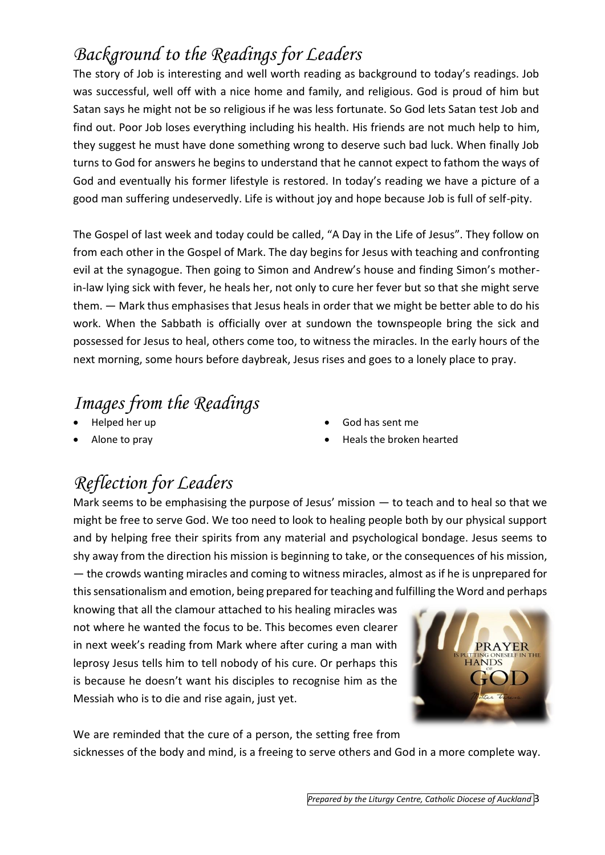## *Background to the Readings for Leaders*

The story of Job is interesting and well worth reading as background to today's readings. Job was successful, well off with a nice home and family, and religious. God is proud of him but Satan says he might not be so religious if he was less fortunate. So God lets Satan test Job and find out. Poor Job loses everything including his health. His friends are not much help to him, they suggest he must have done something wrong to deserve such bad luck. When finally Job turns to God for answers he begins to understand that he cannot expect to fathom the ways of God and eventually his former lifestyle is restored. In today's reading we have a picture of a good man suffering undeservedly. Life is without joy and hope because Job is full of self-pity.

The Gospel of last week and today could be called, "A Day in the Life of Jesus". They follow on from each other in the Gospel of Mark. The day begins for Jesus with teaching and confronting evil at the synagogue. Then going to Simon and Andrew's house and finding Simon's motherin-law lying sick with fever, he heals her, not only to cure her fever but so that she might serve them. — Mark thus emphasises that Jesus heals in order that we might be better able to do his work. When the Sabbath is officially over at sundown the townspeople bring the sick and possessed for Jesus to heal, others come too, to witness the miracles. In the early hours of the next morning, some hours before daybreak, Jesus rises and goes to a lonely place to pray.

#### *Images from the Readings*

- Helped her up
- Alone to pray
- God has sent me
- Heals the broken hearted

#### *Reflection for Leaders*

Mark seems to be emphasising the purpose of Jesus' mission — to teach and to heal so that we might be free to serve God. We too need to look to healing people both by our physical support and by helping free their spirits from any material and psychological bondage. Jesus seems to shy away from the direction his mission is beginning to take, or the consequences of his mission, — the crowds wanting miracles and coming to witness miracles, almost as if he is unprepared for this sensationalism and emotion, being prepared for teaching and fulfilling the Word and perhaps

knowing that all the clamour attached to his healing miracles was not where he wanted the focus to be. This becomes even clearer in next week's reading from Mark where after curing a man with leprosy Jesus tells him to tell nobody of his cure. Or perhaps this is because he doesn't want his disciples to recognise him as the Messiah who is to die and rise again, just yet.



We are reminded that the cure of a person, the setting free from sicknesses of the body and mind, is a freeing to serve others and God in a more complete way.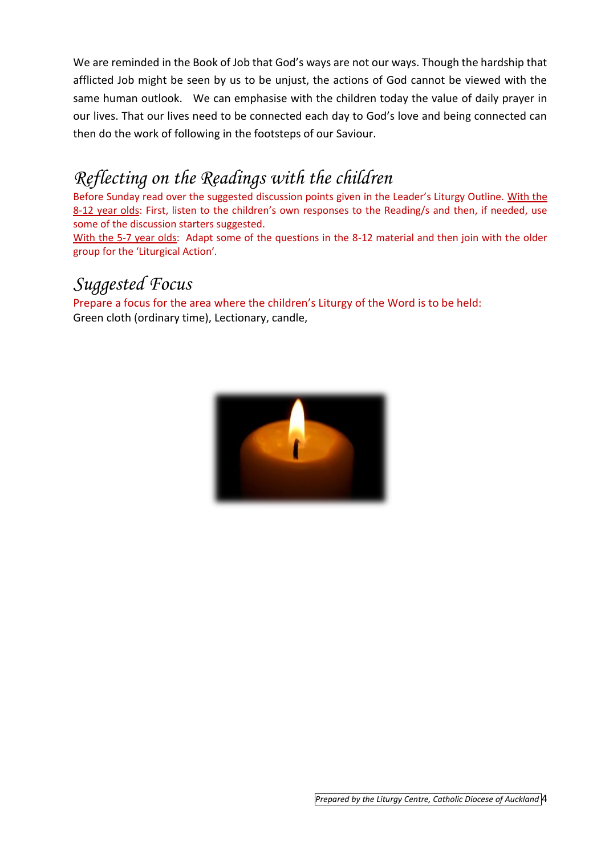We are reminded in the Book of Job that God's ways are not our ways. Though the hardship that afflicted Job might be seen by us to be unjust, the actions of God cannot be viewed with the same human outlook. We can emphasise with the children today the value of daily prayer in our lives. That our lives need to be connected each day to God's love and being connected can then do the work of following in the footsteps of our Saviour.

#### *Reflecting on the Readings with the children*

Before Sunday read over the suggested discussion points given in the Leader's Liturgy Outline. With the 8-12 year olds: First, listen to the children's own responses to the Reading/s and then, if needed, use some of the discussion starters suggested.

With the 5-7 year olds: Adapt some of the questions in the 8-12 material and then join with the older group for the 'Liturgical Action'*.* 

#### *Suggested Focus*

Prepare a focus for the area where the children's Liturgy of the Word is to be held: Green cloth (ordinary time), Lectionary, candle,

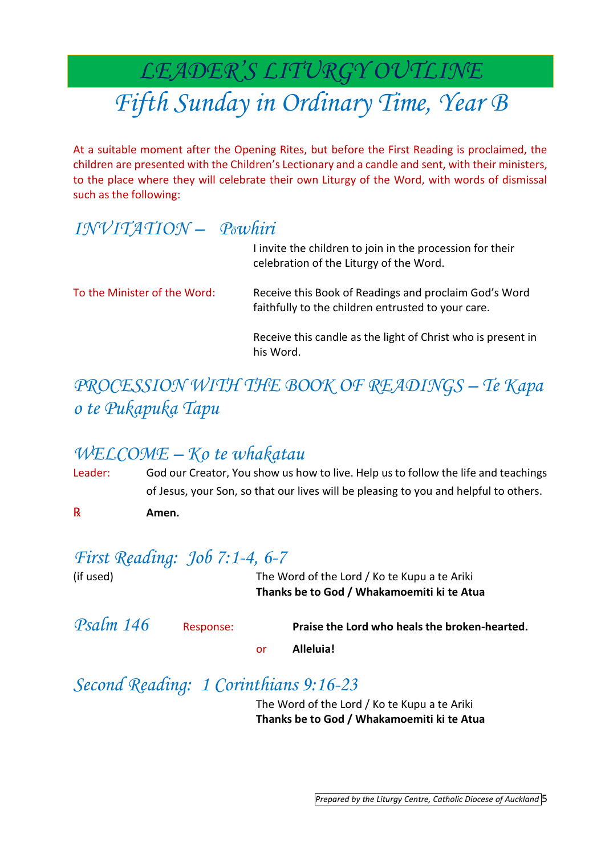## *LEADER'S LITURGY OUTLINE Fifth Sunday in Ordinary Time, Year B*

At a suitable moment after the Opening Rites, but before the First Reading is proclaimed, the children are presented with the Children's Lectionary and a candle and sent, with their ministers, to the place where they will celebrate their own Liturgy of the Word, with words of dismissal such as the following:

#### *INVITATION – Pōwhiri*

|                              | I invite the children to join in the procession for their<br>celebration of the Liturgy of the Word.        |
|------------------------------|-------------------------------------------------------------------------------------------------------------|
| To the Minister of the Word: | Receive this Book of Readings and proclaim God's Word<br>faithfully to the children entrusted to your care. |
|                              | Receive this candle as the light of Christ who is present in<br>his Word.                                   |

#### *PROCESSION WITH THE BOOK OF READINGS – Te Kapa o te Pukapuka Tapu*

#### *WELCOME – Ko te whakatau*

Leader: God our Creator, You show us how to live. Help us to follow the life and teachings of Jesus, your Son, so that our lives will be pleasing to you and helpful to others.

℞ **Amen.**

#### *First Reading: Job 7:1-4, 6-7*

(if used) The Word of the Lord / Ko te Kupu a te Ariki **Thanks be to God / Whakamoemiti ki te Atua**

| Psalm 146 | Response: |     | Praise the Lord who heals the broken-hearted. |  |
|-----------|-----------|-----|-----------------------------------------------|--|
|           |           | nr. | Alleluia!                                     |  |

*Second Reading: 1 Corinthians 9:16-23*

The Word of the Lord / Ko te Kupu a te Ariki **Thanks be to God / Whakamoemiti ki te Atua**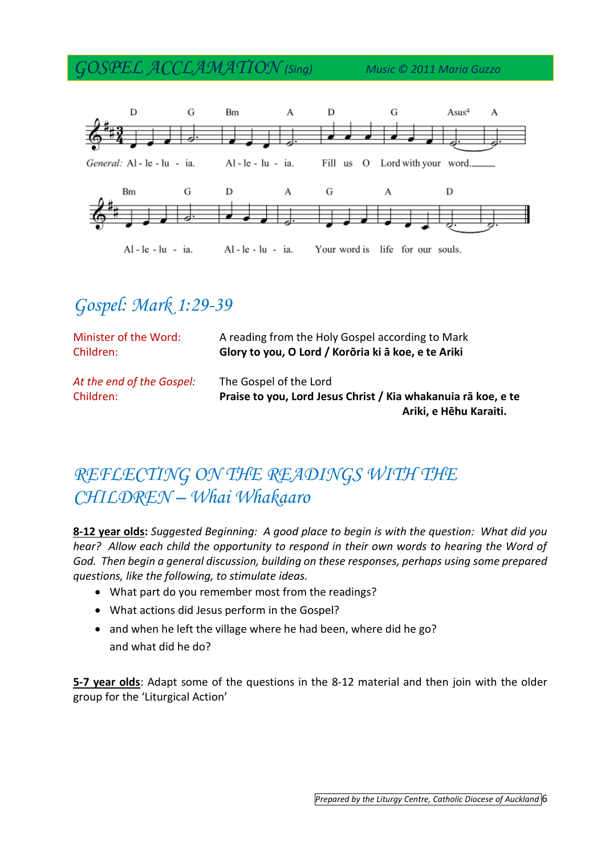*GOSPEL ACCLAMATION (Sing) Music © 2011 Maria Guzzo*



#### *Gospel: Mark 1:29-39*

| Minister of the Word:                  | A reading from the Holy Gospel according to Mark                                                                  |
|----------------------------------------|-------------------------------------------------------------------------------------------------------------------|
| Children:                              | Glory to you, O Lord / Korōria ki ā koe, e te Ariki                                                               |
| At the end of the Gospel:<br>Children: | The Gospel of the Lord<br>Praise to you, Lord Jesus Christ / Kia whakanuja rā koe, e te<br>Ariki, e Hēhu Karaiti. |

#### *REFLECTING ON THE READINGS WITH THE CHILDREN – Whai Whakaaro*

**8-12 year olds:** *Suggested Beginning: A good place to begin is with the question: What did you hear?* Allow each child the opportunity to respond in their own words to hearing the Word of *God. Then begin a general discussion, building on these responses, perhaps using some prepared questions, like the following, to stimulate ideas.* 

- What part do you remember most from the readings?
- What actions did Jesus perform in the Gospel?
- and when he left the village where he had been, where did he go? and what did he do?

**5-7 year olds**: Adapt some of the questions in the 8-12 material and then join with the older group for the 'Liturgical Action'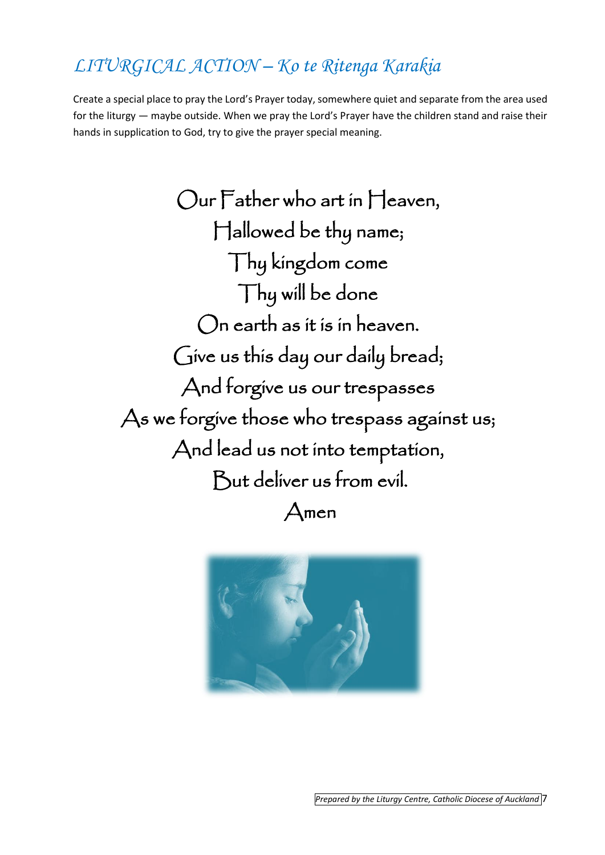## *LITURGICAL ACTION – Ko te Ritenga Karakia*

Create a special place to pray the Lord's Prayer today, somewhere quiet and separate from the area used for the liturgy — maybe outside. When we pray the Lord's Prayer have the children stand and raise their hands in supplication to God, try to give the prayer special meaning.

Our Father who art in Heaven, Hallowed be thy name; Thy kingdom come Thy will be done On earth as it is in heaven. Give us this day our daily bread; And forgive us our trespasses As we forgive those who trespass against us; And lead us not into temptation, But deliver us from evil. Amen

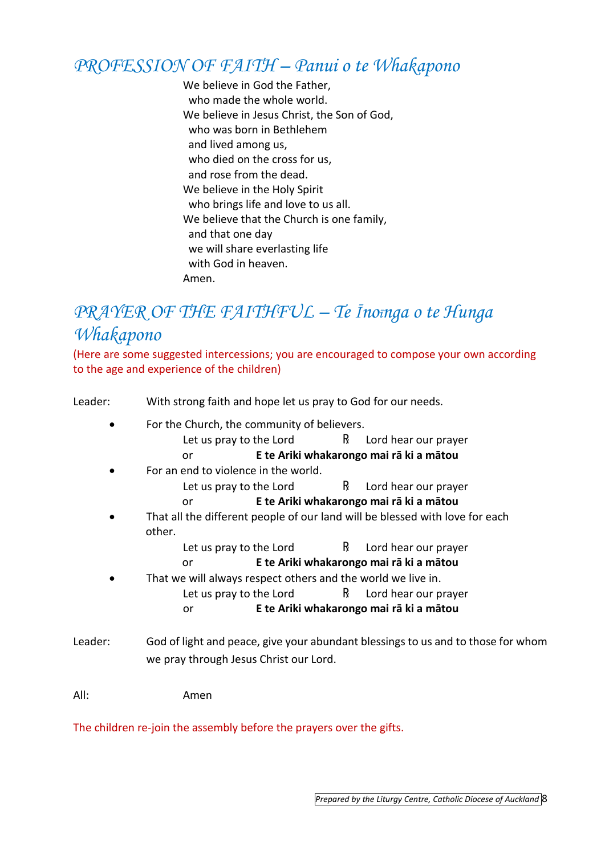#### *PROFESSION OF FAITH – Panui o te Whakapono*

We believe in God the Father. who made the whole world. We believe in Jesus Christ, the Son of God, who was born in Bethlehem and lived among us, who died on the cross for us, and rose from the dead. We believe in the Holy Spirit who brings life and love to us all. We believe that the Church is one family, and that one day we will share everlasting life with God in heaven. Amen.

#### *PRAYER OF THE FAITHFUL – Te Īnoīnga o te Hunga Whakapono*

(Here are some suggested intercessions; you are encouraged to compose your own according to the age and experience of the children)

Leader: With strong faith and hope let us pray to God for our needs. For the Church, the community of believers. Let us pray to the Lord  $R$  Lord hear our prayer or **E te Ariki whakarongo mai rā ki a mātou** For an end to violence in the world. Let us pray to the Lord  $R$  Lord hear our prayer or **E te Ariki whakarongo mai rā ki a mātou** That all the different people of our land will be blessed with love for each other. Let us pray to the Lord  $R$  Lord hear our prayer or **E te Ariki whakarongo mai rā ki a mātou** That we will always respect others and the world we live in. Let us pray to the Lord  $R$  Lord hear our prayer or **E te Ariki whakarongo mai rā ki a mātou** Leader: God of light and peace, give your abundant blessings to us and to those for whom we pray through Jesus Christ our Lord. All: Amen

The children re-join the assembly before the prayers over the gifts.